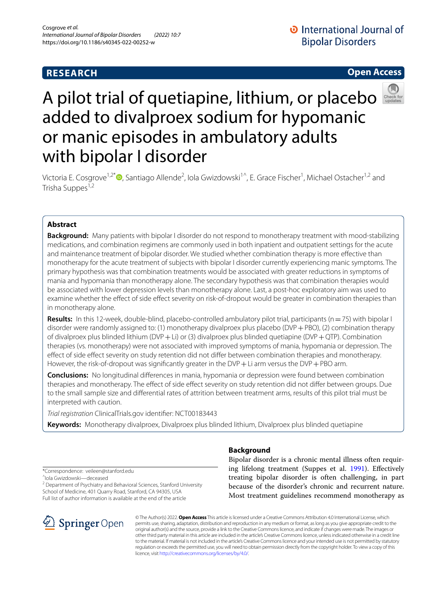# **RESEARCH**

# **Open Access**



# A pilot trial of quetiapine, lithium, or placebo added to divalproex sodium for hypomanic or manic episodes in ambulatory adults with bipolar I disorder

Victoria E. Cosgrove<sup>1,2\*</sup>®[,](http://orcid.org/0000-0002-7566-2987) Santiago Allende<sup>2</sup>, Iola Gwizdowski<sup>1^</sup>, E. Grace Fischer<sup>1</sup>, Michael Ostacher<sup>1,2</sup> and Trisha Suppes<sup>1,2</sup>

## **Abstract**

**Background:** Many patients with bipolar I disorder do not respond to monotherapy treatment with mood-stabilizing medications, and combination regimens are commonly used in both inpatient and outpatient settings for the acute and maintenance treatment of bipolar disorder. We studied whether combination therapy is more efective than monotherapy for the acute treatment of subjects with bipolar I disorder currently experiencing manic symptoms. The primary hypothesis was that combination treatments would be associated with greater reductions in symptoms of mania and hypomania than monotherapy alone. The secondary hypothesis was that combination therapies would be associated with lower depression levels than monotherapy alone. Last, a post-hoc exploratory aim was used to examine whether the efect of side efect severity on risk-of-dropout would be greater in combination therapies than in monotherapy alone.

**Results:** In this 12-week, double-blind, placebo-controlled ambulatory pilot trial, participants (n=75) with bipolar I disorder were randomly assigned to: (1) monotherapy divalproex plus placebo (DVP+PBO), (2) combination therapy of divalproex plus blinded lithium (DVP + Li) or (3) divalproex plus blinded quetiapine (DVP + QTP). Combination therapies (vs. monotherapy) were not associated with improved symptoms of mania, hypomania or depression. The efect of side efect severity on study retention did not difer between combination therapies and monotherapy. However, the risk-of-dropout was significantly greater in the DVP + Li arm versus the DVP + PBO arm.

**Conclusions:** No longitudinal diferences in mania, hypomania or depression were found between combination therapies and monotherapy. The efect of side efect severity on study retention did not difer between groups. Due to the small sample size and diferential rates of attrition between treatment arms, results of this pilot trial must be interpreted with caution.

*Trial registration* ClinicalTrials.gov identifer: NCT00183443

**Keywords:** Monotherapy divalproex, Divalproex plus blinded lithium, Divalproex plus blinded quetiapine

\*Correspondence: veileen@stanford.edu ^Iola Gwizdowski—deceased

<sup>2</sup> Department of Psychiatry and Behavioral Sciences, Stanford University School of Medicine, 401 Quarry Road, Stanford, CA 94305, USA Full list of author information is available at the end of the article



## **Background**

Bipolar disorder is a chronic mental illness often requiring lifelong treatment (Suppes et al. [1991](#page-9-0)). Efectively treating bipolar disorder is often challenging, in part because of the disorder's chronic and recurrent nature. Most treatment guidelines recommend monotherapy as

© The Author(s) 2022. **Open Access** This article is licensed under a Creative Commons Attribution 4.0 International License, which permits use, sharing, adaptation, distribution and reproduction in any medium or format, as long as you give appropriate credit to the original author(s) and the source, provide a link to the Creative Commons licence, and indicate if changes were made. The images or other third party material in this article are included in the article's Creative Commons licence, unless indicated otherwise in a credit line to the material. If material is not included in the article's Creative Commons licence and your intended use is not permitted by statutory regulation or exceeds the permitted use, you will need to obtain permission directly from the copyright holder. To view a copy of this licence, visit [http://creativecommons.org/licenses/by/4.0/.](http://creativecommons.org/licenses/by/4.0/)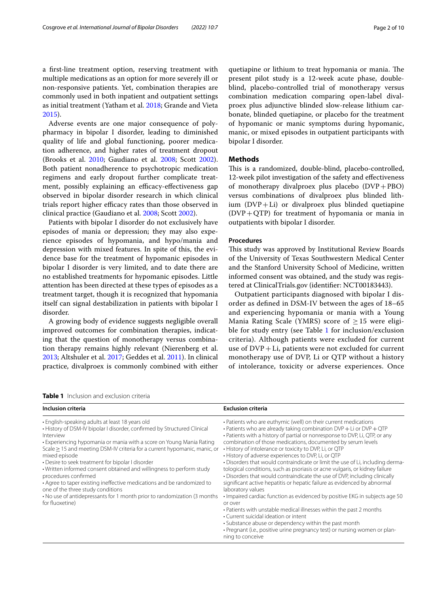a frst-line treatment option, reserving treatment with multiple medications as an option for more severely ill or non-responsive patients. Yet, combination therapies are commonly used in both inpatient and outpatient settings as initial treatment (Yatham et al. [2018](#page-9-1); Grande and Vieta [2015](#page-9-2)).

Adverse events are one major consequence of polypharmacy in bipolar I disorder, leading to diminished quality of life and global functioning, poorer medication adherence, and higher rates of treatment dropout (Brooks et al. [2010](#page-8-0); Gaudiano et al. [2008;](#page-8-1) Scott [2002](#page-9-3)). Both patient nonadherence to psychotropic medication regimens and early dropout further complicate treatment, possibly explaining an efficacy-effectiveness gap observed in bipolar disorder research in which clinical trials report higher efficacy rates than those observed in clinical practice (Gaudiano et al. [2008](#page-8-1); Scott [2002\)](#page-9-3).

Patients with bipolar I disorder do not exclusively have episodes of mania or depression; they may also experience episodes of hypomania, and hypo/mania and depression with mixed features. In spite of this, the evidence base for the treatment of hypomanic episodes in bipolar I disorder is very limited, and to date there are no established treatments for hypomanic episodes. Little attention has been directed at these types of episodes as a treatment target, though it is recognized that hypomania itself can signal destabilization in patients with bipolar I disorder.

A growing body of evidence suggests negligible overall improved outcomes for combination therapies, indicating that the question of monotherapy versus combination therapy remains highly relevant (Nierenberg et al. [2013](#page-9-4); Altshuler et al. [2017;](#page-8-2) Geddes et al. [2011](#page-8-3)). In clinical practice, divalproex is commonly combined with either quetiapine or lithium to treat hypomania or mania. The present pilot study is a 12-week acute phase, doubleblind, placebo-controlled trial of monotherapy versus combination medication comparing open-label divalproex plus adjunctive blinded slow-release lithium carbonate, blinded quetiapine, or placebo for the treatment of hypomanic or manic symptoms during hypomanic, manic, or mixed episodes in outpatient participants with bipolar I disorder.

## **Methods**

This is a randomized, double-blind, placebo-controlled, 12-week pilot investigation of the safety and efectiveness of monotherapy divalproex plus placebo  $(DVP + PBO)$ versus combinations of divalproex plus blinded lithium  $(DVP+Li)$  or divalproex plus blinded quetiapine  $(DVP+QTP)$  for treatment of hypomania or mania in outpatients with bipolar I disorder.

#### **Procedures**

This study was approved by Institutional Review Boards of the University of Texas Southwestern Medical Center and the Stanford University School of Medicine, written informed consent was obtained, and the study was registered at ClinicalTrials.gov (identifer: NCT00183443).

Outpatient participants diagnosed with bipolar I disorder as defned in DSM-IV between the ages of 18–65 and experiencing hypomania or mania with a Young Mania Rating Scale (YMRS) score of  $\geq$  15 were eligible for study entry (see Table [1](#page-1-0) for inclusion/exclusion criteria). Although patients were excluded for current use of  $DVP+Li$ , patients were not excluded for current monotherapy use of DVP, Li or QTP without a history of intolerance, toxicity or adverse experiences. Once

<span id="page-1-0"></span>

| <b>Table 1</b> Inclusion and exclusion criteria |
|-------------------------------------------------|
|-------------------------------------------------|

| Inclusion criteria                                                                                                                                                                                                                                                                                                                                                                                                                                                                                                                                                                                                                                                                | <b>Exclusion criteria</b>                                                                                                                                                                                                                                                                                                                                                                                                                                                                                                                                                                                                                                                                                                                                                                                                                                                                                                                                                                                                                                                                                                          |
|-----------------------------------------------------------------------------------------------------------------------------------------------------------------------------------------------------------------------------------------------------------------------------------------------------------------------------------------------------------------------------------------------------------------------------------------------------------------------------------------------------------------------------------------------------------------------------------------------------------------------------------------------------------------------------------|------------------------------------------------------------------------------------------------------------------------------------------------------------------------------------------------------------------------------------------------------------------------------------------------------------------------------------------------------------------------------------------------------------------------------------------------------------------------------------------------------------------------------------------------------------------------------------------------------------------------------------------------------------------------------------------------------------------------------------------------------------------------------------------------------------------------------------------------------------------------------------------------------------------------------------------------------------------------------------------------------------------------------------------------------------------------------------------------------------------------------------|
| • English-speaking adults at least 18 years old<br>• History of DSM-IV bipolar I disorder, confirmed by Structured Clinical<br>Interview<br>• Experiencing hypomania or mania with a score on Young Mania Rating<br>Scale > 15 and meeting DSM-IV criteria for a current hypomanic, manic, or<br>mixed episode<br>• Desire to seek treatment for bipolar I disorder<br>. Written informed consent obtained and willingness to perform study<br>procedures confirmed<br>• Agree to taper existing ineffective medications and be randomized to<br>one of the three study conditions<br>• No use of antidepressants for 1 month prior to randomization (3 months<br>for fluoxetine) | • Patients who are euthymic (well) on their current medications<br>$\cdot$ Patients who are already taking combination DVP + Li or DVP + QTP<br>• Patients with a history of partial or nonresponse to DVP, Li, QTP, or any<br>combination of those medications, documented by serum levels<br>• History of intolerance or toxicity to DVP, Li, or QTP<br>• History of adverse experiences to DVP, Li, or QTP<br>• Disorders that would contraindicate or limit the use of Li, including derma-<br>tological conditions, such as psoriasis or acne vulgaris, or kidney failure<br>• Disorders that would contraindicate the use of DVP, including clinically<br>significant active hepatitis or hepatic failure as evidenced by abnormal<br>laboratory values<br>• Impaired cardiac function as evidenced by positive EKG in subjects age 50<br>or over<br>• Patients with unstable medical illnesses within the past 2 months<br>• Current suicidal ideation or intent<br>• Substance abuse or dependency within the past month<br>• Pregnant (i.e., positive urine pregnancy test) or nursing women or plan-<br>ning to conceive |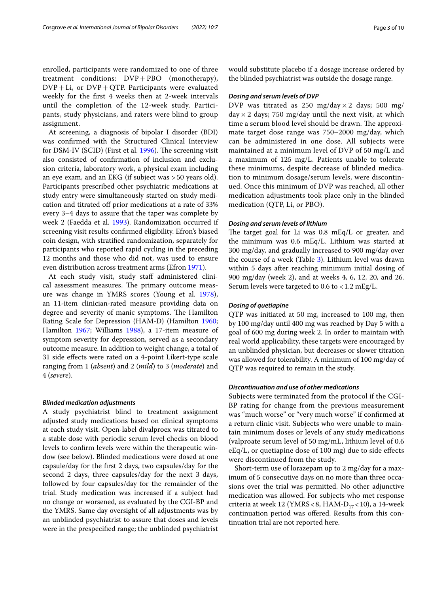enrolled, participants were randomized to one of three treatment conditions: DVP+PBO (monotherapy),  $DVP+Li$ , or  $DVP+QTP$ . Participants were evaluated weekly for the frst 4 weeks then at 2-week intervals until the completion of the 12-week study. Participants, study physicians, and raters were blind to group assignment.

At screening, a diagnosis of bipolar I disorder (BDI) was confrmed with the Structured Clinical Interview for DSM-IV (SCID) (First et al. [1996\)](#page-8-4). The screening visit also consisted of confrmation of inclusion and exclusion criteria, laboratory work, a physical exam including an eye exam, and an EKG (if subject was >50 years old). Participants prescribed other psychiatric medications at study entry were simultaneously started on study medication and titrated off prior medications at a rate of 33% every 3–4 days to assure that the taper was complete by week 2 (Faedda et al. [1993](#page-8-5)). Randomization occurred if screening visit results confrmed eligibility. Efron's biased coin design, with stratifed randomization, separately for participants who reported rapid cycling in the preceding 12 months and those who did not, was used to ensure even distribution across treatment arms (Efron [1971\)](#page-8-6).

At each study visit, study staff administered clinical assessment measures. The primary outcome measure was change in YMRS scores (Young et al. [1978](#page-9-5)), an 11-item clinician-rated measure providing data on degree and severity of manic symptoms. The Hamilton Rating Scale for Depression (HAM-D) (Hamilton [1960](#page-9-6); Hamilton [1967](#page-9-7); Williams [1988\)](#page-9-8), a 17-item measure of symptom severity for depression, served as a secondary outcome measure. In addition to weight change, a total of 31 side efects were rated on a 4-point Likert-type scale ranging from 1 (*absent*) and 2 (*mild*) to 3 (*moderate*) and 4 (*severe*).

## *Blinded medication adjustments*

A study psychiatrist blind to treatment assignment adjusted study medications based on clinical symptoms at each study visit. Open-label divalproex was titrated to a stable dose with periodic serum level checks on blood levels to confrm levels were within the therapeutic window (see below). Blinded medications were dosed at one capsule/day for the frst 2 days, two capsules/day for the second 2 days, three capsules/day for the next 3 days, followed by four capsules/day for the remainder of the trial. Study medication was increased if a subject had no change or worsened, as evaluated by the CGI-BP and the YMRS. Same day oversight of all adjustments was by an unblinded psychiatrist to assure that doses and levels were in the prespecifed range; the unblinded psychiatrist would substitute placebo if a dosage increase ordered by the blinded psychiatrist was outside the dosage range.

#### *Dosing and serum levels of DVP*

DVP was titrated as 250 mg/day  $\times$  2 days; 500 mg/ day  $\times$  2 days; 750 mg/day until the next visit, at which time a serum blood level should be drawn. The approximate target dose range was 750–2000 mg/day, which can be administered in one dose. All subjects were maintained at a minimum level of DVP of 50 mg/L and a maximum of 125 mg/L. Patients unable to tolerate these minimums, despite decrease of blinded medication to minimum dosage/serum levels, were discontinued. Once this minimum of DVP was reached, all other medication adjustments took place only in the blinded medication (QTP, Li, or PBO).

## *Dosing and serum levels of lithium*

The target goal for Li was  $0.8 \text{ mEq/L}$  or greater, and the minimum was 0.6 mEq/L. Lithium was started at 300 mg/day, and gradually increased to 900 mg/day over the course of a week (Table [3\)](#page-6-0). Lithium level was drawn within 5 days after reaching minimum initial dosing of 900 mg/day (week 2), and at weeks 4, 6, 12, 20, and 26. Serum levels were targeted to  $0.6$  to  $< 1.2$  mEg/L.

#### *Dosing of quetiapine*

QTP was initiated at 50 mg, increased to 100 mg, then by 100 mg/day until 400 mg was reached by Day 5 with a goal of 600 mg during week 2. In order to maintain with real world applicability, these targets were encouraged by an unblinded physician, but decreases or slower titration was allowed for tolerability. A minimum of 100 mg/day of QTP was required to remain in the study.

## *Discontinuation and use of other medications*

Subjects were terminated from the protocol if the CGI-BP rating for change from the previous measurement was "much worse" or "very much worse" if confrmed at a return clinic visit. Subjects who were unable to maintain minimum doses or levels of any study medications (valproate serum level of 50 mg/mL, lithium level of 0.6 eEq/L, or quetiapine dose of 100 mg) due to side efects were discontinued from the study.

Short-term use of lorazepam up to 2 mg/day for a maximum of 5 consecutive days on no more than three occasions over the trial was permitted. No other adjunctive medication was allowed. For subjects who met response criteria at week 12 (YMRS < 8, HAM- $D_{17}$  < 10), a 14-week continuation period was ofered. Results from this continuation trial are not reported here.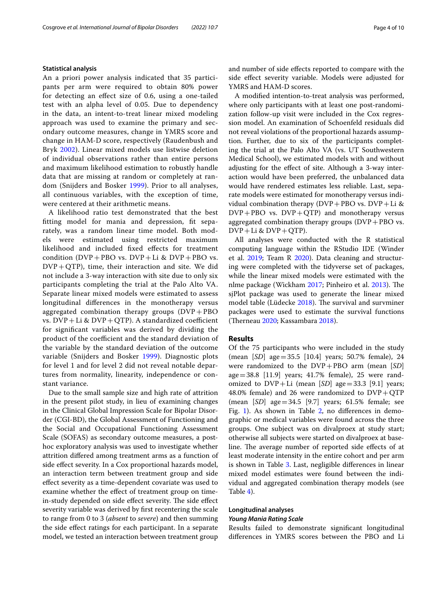#### **Statistical analysis**

An a priori power analysis indicated that 35 participants per arm were required to obtain 80% power for detecting an efect size of 0.6, using a one-tailed test with an alpha level of 0.05. Due to dependency in the data, an intent-to-treat linear mixed modeling approach was used to examine the primary and secondary outcome measures, change in YMRS score and change in HAM-D score, respectively (Raudenbush and Bryk [2002](#page-9-9)). Linear mixed models use listwise deletion of individual observations rather than entire persons and maximum likelihood estimation to robustly handle data that are missing at random or completely at random (Snijders and Bosker [1999\)](#page-9-10). Prior to all analyses, all continuous variables, with the exception of time, were centered at their arithmetic means.

A likelihood ratio test demonstrated that the best ftting model for mania and depression, ft separately, was a random linear time model. Both models were estimated using restricted maximum likelihood and included fxed efects for treatment condition  $(DVP + PBO vs. DVP + Li & DVP + PBO vs.$  $DVP+QTP$ ), time, their interaction and site. We did not include a 3-way interaction with site due to only six participants completing the trial at the Palo Alto VA. Separate linear mixed models were estimated to assess longitudinal diferences in the monotherapy versus aggregated combination therapy groups  $(DVP + PBO)$ vs.  $DVP+Li & DVP+QTP$ ). A standardized coefficient for signifcant variables was derived by dividing the product of the coefficient and the standard deviation of the variable by the standard deviation of the outcome variable (Snijders and Bosker [1999\)](#page-9-10). Diagnostic plots for level 1 and for level 2 did not reveal notable departures from normality, linearity, independence or constant variance.

Due to the small sample size and high rate of attrition in the present pilot study, in lieu of examining changes in the Clinical Global Impression Scale for Bipolar Disorder (CGI-BD), the Global Assessment of Functioning and the Social and Occupational Functioning Assessment Scale (SOFAS) as secondary outcome measures, a posthoc exploratory analysis was used to investigate whether attrition difered among treatment arms as a function of side efect severity. In a Cox proportional hazards model, an interaction term between treatment group and side efect severity as a time-dependent covariate was used to examine whether the efect of treatment group on timein-study depended on side effect severity. The side effect severity variable was derived by frst recentering the scale to range from 0 to 3 (*absent* to *severe*) and then summing the side efect ratings for each participant. In a separate model, we tested an interaction between treatment group and number of side efects reported to compare with the side efect severity variable. Models were adjusted for YMRS and HAM-D scores.

A modifed intention-to-treat analysis was performed, where only participants with at least one post-randomization follow-up visit were included in the Cox regression model. An examination of Schoenfeld residuals did not reveal violations of the proportional hazards assumption. Further, due to six of the participants completing the trial at the Palo Alto VA (vs. UT Southwestern Medical School), we estimated models with and without adjusting for the efect of site. Although a 3-way interaction would have been preferred, the unbalanced data would have rendered estimates less reliable. Last, separate models were estimated for monotherapy versus individual combination therapy (DVP+PBO vs. DVP+Li &  $DVP + PBO$  vs.  $DVP + QTP$ ) and monotherapy versus aggregated combination therapy groups  $(DVP + PBO vs.$  $DVP+Li & DVP+QTP$ ).

All analyses were conducted with the R statistical computing language within the RStudio IDE (Winder et al. [2019](#page-9-11); Team R [2020](#page-9-12)). Data cleaning and structuring were completed with the tidyverse set of packages, while the linear mixed models were estimated with the nlme package (Wickham [2017;](#page-9-13) Pinheiro et al. [2013\)](#page-9-14). The sjPlot package was used to generate the linear mixed model table (Lüdecke [2018](#page-9-15)). The survival and survminer packages were used to estimate the survival functions (Therneau [2020](#page-9-16); Kassambara [2018\)](#page-9-17).

## **Results**

Of the 75 participants who were included in the study (mean [*SD*] age=35.5 [10.4] years; 50.7% female), 24 were randomized to the DVP+PBO arm (mean [*SD*] age=38.8 [11.9] years; 41.7% female), 25 were randomized to  $DVP+Li$  (mean  $[SD]$  age=33.3 [9.1] years; 48.0% female) and 26 were randomized to  $DVP + QTP$ (mean [*SD*] age=34.5 [9.7] years; 61.5% female; see Fig. [1\)](#page-4-0). As shown in Table [2](#page-5-0), no differences in demographic or medical variables were found across the three groups. One subject was on divalproex at study start; otherwise all subjects were started on divalproex at baseline. The average number of reported side effects of at least moderate intensity in the entire cohort and per arm is shown in Table [3.](#page-6-0) Last, negligible diferences in linear mixed model estimates were found between the individual and aggregated combination therapy models (see Table [4](#page-6-1)).

# **Longitudinal analyses**

## *Young Mania Rating Scale*

Results failed to demonstrate signifcant longitudinal diferences in YMRS scores between the PBO and Li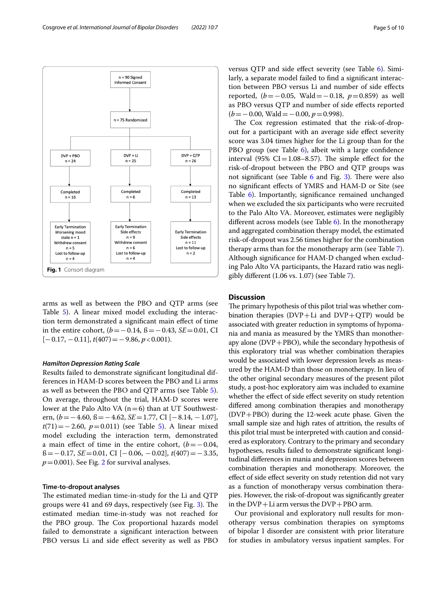

<span id="page-4-0"></span>arms as well as between the PBO and QTP arms (see Table [5](#page-6-2)). A linear mixed model excluding the interaction term demonstrated a signifcant main efect of time in the entire cohort, (*b*=−0.14, ß=−0.43, *SE*=0.01, CI [−0.17, −0.11], *t*(407)=−9.86, *p*<0.001).

## *Hamilton Depression Rating Scale*

Results failed to demonstrate signifcant longitudinal differences in HAM-D scores between the PBO and Li arms as well as between the PBO and QTP arms (see Table [5](#page-6-2)). On average, throughout the trial, HAM-D scores were lower at the Palo Alto VA  $(n=6)$  than at UT Southwestern, (*b*=−4.60, ß=−4.62, *SE*=1.77, CI [−8.14, −1.07], *t*(71)=−2.60, *p*=0.011) (see Table [5\)](#page-6-2). A linear mixed model excluding the interaction term, demonstrated a main effect of time in the entire cohort,  $(b=-0.04,$ ß=−0.17, *SE*=0.01, CI [−0.06, −0.02], *t*(407)=−3.35,  $p=0.001$ ). See Fig. [2](#page-7-0) for survival analyses.

#### **Time‑to‑dropout analyses**

The estimated median time-in-study for the Li and QTP groups were 41 and 69 days, respectively (see Fig.  $3$ ). The estimated median time-in-study was not reached for the PBO group. The Cox proportional hazards model failed to demonstrate a signifcant interaction between PBO versus Li and side efect severity as well as PBO versus QTP and side efect severity (see Table [6](#page-7-2)). Similarly, a separate model failed to fnd a signifcant interaction between PBO versus Li and number of side efects reported, (*b*=−0.05, Wald=−0.18, *p*=0.859) as well as PBO versus QTP and number of side efects reported (*b*=−0.00, Wald=−0.00, *p*=0.998).

The Cox regression estimated that the risk-of-dropout for a participant with an average side efect severity score was 3.04 times higher for the Li group than for the PBO group (see Table [6\)](#page-7-2), albeit with a large confidence interval (95%  $CI = 1.08 - 8.57$ ). The simple effect for the risk-of-dropout between the PBO and QTP groups was not significant (see Table  $6$  and Fig. [3\)](#page-7-1). There were also no signifcant efects of YMRS and HAM-D or Site (see Table [6\)](#page-7-2). Importantly, signifcance remained unchanged when we excluded the six participants who were recruited to the Palo Alto VA. Moreover, estimates were negligibly different across models (see Table  $6$ ). In the monotherapy and aggregated combination therapy model, the estimated risk-of-dropout was 2.56 times higher for the combination therapy arms than for the monotherapy arm (see Table [7](#page-8-7)). Although signifcance for HAM-D changed when excluding Palo Alto VA participants, the Hazard ratio was negligibly diferent (1.06 vs. 1.07) (see Table [7\)](#page-8-7).

## **Discussion**

The primary hypothesis of this pilot trial was whether combination therapies  $(DVP+Li$  and  $DVP+QTP)$  would be associated with greater reduction in symptoms of hypomania and mania as measured by the YMRS than monotherapy alone (DVP+PBO), while the secondary hypothesis of this exploratory trial was whether combination therapies would be associated with lower depression levels as measured by the HAM-D than those on monotherapy. In lieu of the other original secondary measures of the present pilot study, a post-hoc exploratory aim was included to examine whether the effect of side effect severity on study retention difered among combination therapies and monotherapy (DVP+PBO) during the 12-week acute phase. Given the small sample size and high rates of attrition, the results of this pilot trial must be interpreted with caution and considered as exploratory. Contrary to the primary and secondary hypotheses, results failed to demonstrate signifcant longitudinal diferences in mania and depression scores between combination therapies and monotherapy. Moreover, the efect of side efect severity on study retention did not vary as a function of monotherapy versus combination therapies. However, the risk-of-dropout was signifcantly greater in the  $DVP+Li$  arm versus the  $DVP+PBO$  arm.

Our provisional and exploratory null results for monotherapy versus combination therapies on symptoms of bipolar I disorder are consistent with prior literature for studies in ambulatory versus inpatient samples. For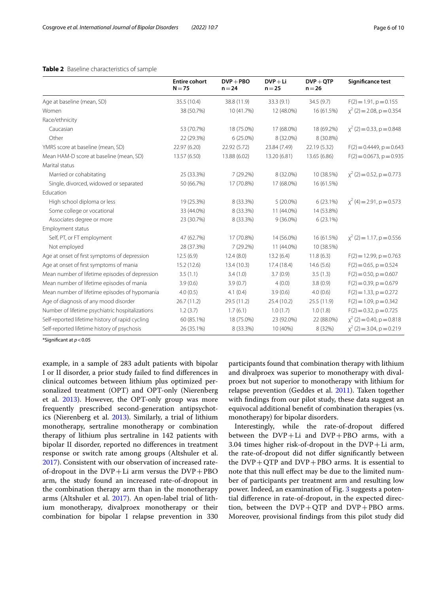|                                                 | <b>Entire cohort</b><br>$N = 75$ | $DVP + PBO$<br>$n = 24$ | $DVP + Li$<br>$n = 25$ | $DVP + QTP$<br>$n = 26$ | Significance test              |
|-------------------------------------------------|----------------------------------|-------------------------|------------------------|-------------------------|--------------------------------|
| Age at baseline (mean, SD)                      | 35.5 (10.4)                      | 38.8 (11.9)             | 33.3 (9.1)             | 34.5(9.7)               | $F(2) = 1.91$ , $p = 0.155$    |
| Women                                           | 38 (50.7%)                       | 10 (41.7%)              | 12 (48.0%)             | 16 (61.5%)              | $\chi^2$ (2) = 2.08, p = 0.354 |
| Race/ethnicity                                  |                                  |                         |                        |                         |                                |
| Caucasian                                       | 53 (70.7%)                       | 18 (75.0%)              | 17 (68.0%)             | 18 (69.2%)              | $\chi^2$ (2) = 0.33, p = 0.848 |
| Other                                           | 22 (29.3%)                       | $6(25.0\%)$             | 8 (32.0%)              | 8 (30.8%)               |                                |
| YMRS score at baseline (mean, SD)               | 22.97 (6.20)                     | 22.92 (5.72)            | 23.84 (7.49)           | 22.19 (5.32)            | $F(2) = 0.4449$ , $p = 0.643$  |
| Mean HAM-D score at baseline (mean, SD)         | 13.57 (6.50)                     | 13.88 (6.02)            | 13.20 (6.81)           | 13.65 (6.86)            | $F(2) = 0.0673$ , $p = 0.935$  |
| Marital status                                  |                                  |                         |                        |                         |                                |
| Married or cohabitating                         | 25 (33.3%)                       | 7 (29.2%)               | 8 (32.0%)              | 10 (38.5%)              | $\chi^2$ (2) = 0.52, p = 0.773 |
| Single, divorced, widowed or separated          | 50 (66.7%)                       | 17 (70.8%)              | 17 (68.0%)             | 16 (61.5%)              |                                |
| Education                                       |                                  |                         |                        |                         |                                |
| High school diploma or less                     | 19 (25.3%)                       | 8 (33.3%)               | $5(20.0\%)$            | $6(23.1\%)$             | $\chi^2$ (4) = 2.91, p = 0.573 |
| Some college or vocational                      | 33 (44.0%)                       | 8 (33.3%)               | 11 (44.0%)             | 14 (53.8%)              |                                |
| Associates degree or more                       | 23 (30.7%)                       | 8 (33.3%)               | $9(36.0\%)$            | 6(23.1%)                |                                |
| Employment status                               |                                  |                         |                        |                         |                                |
| Self, PT, or FT employment                      | 47 (62.7%)                       | 17 (70.8%)              | 14 (56.0%)             | 16 (61.5%)              | $x^2$ (2) = 1.17, p = 0.556    |
| Not employed                                    | 28 (37.3%)                       | 7 (29.2%)               | 11 (44.0%)             | 10 (38.5%)              |                                |
| Age at onset of first symptoms of depression    | 12.5(6.9)                        | 12.4(8.0)               | 13.2(6.4)              | 11.8(6.3)               | $F(2) = 12.99$ , $p = 0.763$   |
| Age at onset of first symptoms of mania         | 15.2 (12.6)                      | 13.4(10.3)              | 17.4 (18.4)            | 14.6(5.6)               | $F(2) = 0.65$ , $p = 0.524$    |
| Mean number of lifetime episodes of depression  | 3.5(1.1)                         | 3.4(1.0)                | 3.7(0.9)               | 3.5(1.3)                | $F(2) = 0.50$ , $p = 0.607$    |
| Mean number of lifetime episodes of mania       | 3.9(0.6)                         | 3.9(0.7)                | 4(0.0)                 | 3.8(0.9)                | $F(2) = 0.39$ , $p = 0.679$    |
| Mean number of lifetime episodes of hypomania   | 4.0(0.5)                         | 4.1(0.4)                | 3.9(0.6)               | 4.0(0.6)                | $F(2) = 1.33$ , $p = 0.272$    |
| Age of diagnosis of any mood disorder           | 26.7(11.2)                       | 29.5 (11.2)             | 25.4 (10.2)            | 25.5(11.9)              | $F(2) = 1.09$ , $p = 0.342$    |
| Number of lifetime psychiatric hospitalizations | 1.2(3.7)                         | 1.7(6.1)                | 1.0(1.7)               | 1.0(1.8)                | $F(2) = 0.32$ , $p = 0.725$    |
| Self-reported lifetime history of rapid cycling | 60 (85.1%)                       | 18 (75.0%)              | 23 (92.0%)             | 22 (88.0%)              | $\chi^2$ (2) = 0.40, p = 0.818 |
| Self-reported lifetime history of psychosis     | 26 (35.1%)                       | 8 (33.3%)               | 10 (40%)               | 8 (32%)                 | $\chi^2$ (2) = 3.04, p = 0.219 |

## <span id="page-5-0"></span>**Table 2** Baseline characteristics of sample

\*Signifcant at *p*<0.05

example, in a sample of 283 adult patients with bipolar I or II disorder, a prior study failed to fnd diferences in clinical outcomes between lithium plus optimized personalized treatment (OPT) and OPT-only (Nierenberg et al. [2013\)](#page-9-4). However, the OPT-only group was more frequently prescribed second-generation antipsychotics (Nierenberg et al. [2013\)](#page-9-4). Similarly, a trial of lithium monotherapy, sertraline monotherapy or combination therapy of lithium plus sertraline in 142 patients with bipolar II disorder, reported no diferences in treatment response or switch rate among groups (Altshuler et al. [2017](#page-8-2)). Consistent with our observation of increased rateof-dropout in the  $DVP+Li$  arm versus the  $DVP+PBO$ arm, the study found an increased rate-of-dropout in the combination therapy arm than in the monotherapy arms (Altshuler et al. [2017](#page-8-2)). An open-label trial of lithium monotherapy, divalproex monotherapy or their combination for bipolar I relapse prevention in 330 participants found that combination therapy with lithium and divalproex was superior to monotherapy with divalproex but not superior to monotherapy with lithium for relapse prevention (Geddes et al. [2011\)](#page-8-3). Taken together with fndings from our pilot study, these data suggest an equivocal additional beneft of combination therapies (vs. monotherapy) for bipolar disorders.

Interestingly, while the rate-of-dropout difered between the DVP+Li and DVP+PBO arms, with a 3.04 times higher risk-of-dropout in the  $DVP+Li$  arm, the rate-of-dropout did not difer signifcantly between the  $DVP + QTP$  and  $DVP + PBO$  arms. It is essential to note that this null efect may be due to the limited number of participants per treatment arm and resulting low power. Indeed, an examination of Fig. [3](#page-7-1) suggests a potential diference in rate-of-dropout, in the expected direction, between the  $DVP + QTP$  and  $DVP + PBO$  arms. Moreover, provisional fndings from this pilot study did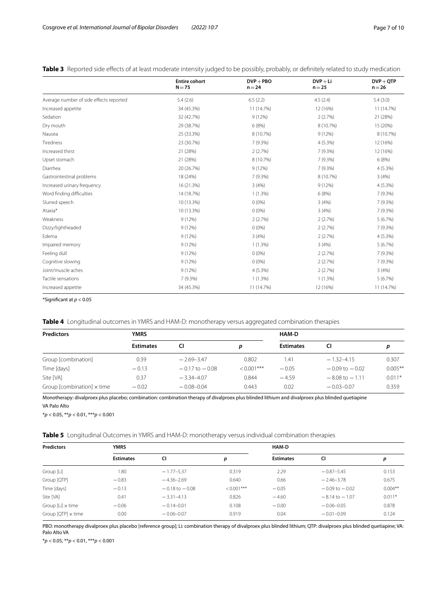<span id="page-6-0"></span>

| Table 3 Reported side effects of at least moderate intensity judged to be possibly, probably, or definitely related to study medication |  |
|-----------------------------------------------------------------------------------------------------------------------------------------|--|
|-----------------------------------------------------------------------------------------------------------------------------------------|--|

|                                         | <b>Entire cohort</b><br>$N = 75$ | $DVP + PBO$<br>$n = 24$ | $DVP + Li$<br>$n = 25$ | $DVP + QTP$<br>$n = 26$ |
|-----------------------------------------|----------------------------------|-------------------------|------------------------|-------------------------|
| Average number of side effects reported | 5.4(2.6)                         | 6.5(2.2)                | 4.5(2.4)               | 5.4(3.0)                |
| Increased appetite                      | 34 (45.3%)                       | 11 (14.7%)              | 12 (16%)               | 11 (14.7%)              |
| Sedation                                | 32 (42.7%)                       | 9(12%)                  | 2(2.7%)                | 21 (28%)                |
| Dry mouth                               | 29 (38.7%)                       | 6 (8%)                  | 8 (10.7%)              | 15 (20%)                |
| Nausea                                  | 25 (33.3%)                       | 8 (10.7%)               | 9(12%)                 | 8 (10.7%)               |
| Tiredness                               | 23 (30.7%)                       | 7(9.3%)                 | 4 (5.3%)               | 12 (16%)                |
| Increased thirst                        | 21 (28%)                         | 2(2.7%)                 | 7 (9.3%)               | 12 (16%)                |
| Upset stomach                           | 21 (28%)                         | 8 (10.7%)               | 7 (9.3%)               | 6(8%)                   |
| Diarrhea                                | 20 (26.7%)                       | 9(12%)                  | 7(9.3%)                | 4(5.3%)                 |
| Gastrointestinal problems               | 18 (24%)                         | 7 (9.3%)                | 8 (10.7%)              | 3(4%)                   |
| Increased urinary frequency             | 16 (21.3%)                       | 3(4%)                   | 9(12%)                 | $4(5.3\%)$              |
| Word finding difficulties               | 14 (18.7%)                       | 1(1.3%)                 | 6(8%)                  | 7 (9.3%)                |
| Slurred speech                          | 10 (13.3%)                       | $0(0\%)$                | 3(4%)                  | 7 (9.3%)                |
| Ataxia*                                 | 10 (13.3%)                       | $0(0\%)$                | 3(4%)                  | 7 (9.3%)                |
| Weakness                                | 9(12%)                           | 2(2.7%)                 | 2(2.7%)                | 5(6.7%)                 |
| Dizzy/lightheaded                       | 9(12%)                           | $0(0\%)$                | 2(2.7%)                | 7(9.3%)                 |
| Edema                                   | 9(12%)                           | 3(4%)                   | 2(2.7%)                | 4(5.3%)                 |
| Impaired memory                         | 9(12%)                           | 1(1.3%)                 | 3(4%)                  | 5(6.7%)                 |
| Feeling dull                            | 9(12%)                           | $0(0\%)$                | 2(2.7%)                | 7 (9.3%)                |
| Cognitive slowing                       | 9(12%)                           | $0(0\%)$                | 2(2.7%)                | 7(9.3%)                 |
| Joint/muscle aches                      | 9(12%)                           | 4(5.3%)                 | 2(2.7%)                | 3(4%)                   |
| Tactile sensations                      | 7(9.3%)                          | $1(1.3\%)$              | 1(1.3%)                | 5(6.7%)                 |
| Increased appetite                      | 34 (45.3%)                       | 11 (14.7%)              | 12 (16%)               | 11 (14.7%)              |

\*Signifcant at *p* < 0.05

<span id="page-6-1"></span>**Table 4** Longitudinal outcomes in YMRS and HAM-D: monotherapy versus aggregated combination therapies

| <b>Predictors</b>                 | YMRS             |                    | HAM-D         |                  |                    |            |
|-----------------------------------|------------------|--------------------|---------------|------------------|--------------------|------------|
|                                   | <b>Estimates</b> | CI                 | D             | <b>Estimates</b> | CI                 |            |
| Group [combination]               | 0.39             | $-2.69-3.47$       | 0.802         | l.41             | $-1.32 - 4.15$     | 0.307      |
| Time [days]                       | $-0.13$          | $-0.17$ to $-0.08$ | $< 0.001$ *** | $-0.05$          | $-0.09$ to $-0.02$ | $0.005***$ |
| Site [VA]                         | 0.37             | $-3.34 - 4.07$     | 0.844         | $-4.59$          | $-8.08$ to $-1.11$ | $0.011*$   |
| Group [combination] $\times$ time | $-0.02$          | $-0.08 - 0.04$     | 0.443         | 0.02             | $-0.03 - 0.07$     | 0.359      |

Monotherapy: divalproex plus placebo; combination: combination therapy of divalproex plus blinded lithium and divalproex plus blinded quetiapine VA Palo Alto

\**p* < 0.05, \*\**p* < 0.01, \*\*\**p* < 0.001

<span id="page-6-2"></span>**Table 5** Longitudinal Outcomes in YMRS and HAM-D: monotherapy versus individual combination therapies

| <b>Predictors</b>         | <b>YMRS</b>      |                    |               | HAM-D            |                    |           |  |
|---------------------------|------------------|--------------------|---------------|------------------|--------------------|-----------|--|
|                           | <b>Estimates</b> | CI                 | p             | <b>Estimates</b> | CI                 | р         |  |
| Group [Li]                | 1.80             | $-1.77 - 5.37$     | 0.319         | 2.29             | $-0.87 - 5.45$     | 0.153     |  |
| Group [QTP]               | $-0.83$          | $-4.36 - 2.69$     | 0.640         | 0.66             | $-2.46 - 3.78$     | 0.675     |  |
| Time [days]               | $-0.13$          | $-0.18$ to $-0.08$ | $< 0.001$ *** | $-0.05$          | $-0.09$ to $-0.02$ | $0.004**$ |  |
| Site [VA]                 | 0.41             | $-3.31 - 4.13$     | 0.826         | $-4.60$          | $-8.14$ to $-1.07$ | $0.011*$  |  |
| Group $[Li] \times$ time  | $-0.06$          | $-0.14 - 0.01$     | 0.108         | $-0.00$          | $-0.06 - 0.05$     | 0.878     |  |
| Group $[QTP] \times$ time | 0.00             | $-0.06 - 0.07$     | 0.919         | 0.04             | $-0.01 - 0.09$     | 0.124     |  |

PBO: monotherapy divalproex plus placebo [reference group]; Li: combination therapy of divalproex plus blinded lithium; QTP: divalproex plus blinded quetiapine; VA: Palo Alto VA

\**p* < 0.05, \*\**p* < 0.01, \*\*\**p* < 0.001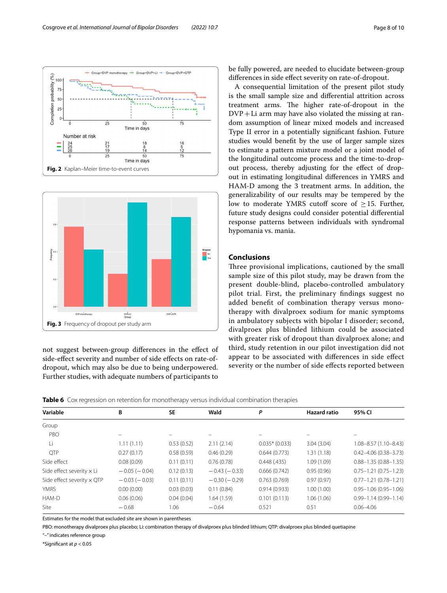

<span id="page-7-0"></span>

<span id="page-7-1"></span>not suggest between-group diferences in the efect of side-efect severity and number of side efects on rate-ofdropout, which may also be due to being underpowered. Further studies, with adequate numbers of participants to be fully powered, are needed to elucidate between-group diferences in side efect severity on rate-of-dropout.

A consequential limitation of the present pilot study is the small sample size and diferential attrition across treatment arms. The higher rate-of-dropout in the  $DVP+Li$  arm may have also violated the missing at random assumption of linear mixed models and increased Type II error in a potentially signifcant fashion. Future studies would beneft by the use of larger sample sizes to estimate a pattern mixture model or a joint model of the longitudinal outcome process and the time-to-dropout process, thereby adjusting for the efect of dropout in estimating longitudinal diferences in YMRS and HAM-D among the 3 treatment arms. In addition, the generalizability of our results may be tempered by the low to moderate YMRS cutoff score of  $\geq$  15. Further, future study designs could consider potential diferential response patterns between individuals with syndromal hypomania vs. mania.

## **Conclusions**

Three provisional implications, cautioned by the small sample size of this pilot study, may be drawn from the present double-blind, placebo-controlled ambulatory pilot trial. First, the preliminary fndings suggest no added beneft of combination therapy versus monotherapy with divalproex sodium for manic symptoms in ambulatory subjects with bipolar I disorder; second, divalproex plus blinded lithium could be associated with greater risk of dropout than divalproex alone; and third, study retention in our pilot investigation did not appear to be associated with diferences in side efect severity or the number of side efects reported between

<span id="page-7-2"></span>**Table 6** Cox regression on retention for monotherapy versus individual combination therapies

| Variable                          | В              | <b>SE</b>  | Wald           | Ρ                | <b>Hazard ratio</b> | 95% CI                      |
|-----------------------------------|----------------|------------|----------------|------------------|---------------------|-----------------------------|
| Group                             |                |            |                |                  |                     |                             |
| PBO                               |                |            |                |                  |                     |                             |
| Li                                | 1.11(1.11)     | 0.53(0.52) | 2.11(2.14)     | $0.035*$ (0.033) | 3.04(3.04)          | $1.08 - 8.57(1.10 - 8.43)$  |
| <b>OTP</b>                        | 0.27(0.17)     | 0.58(0.59) | 0.46(0.29)     | 0.644(0.773)     | 1.31(1.18)          | $0.42 - 4.06(0.38 - 3.73)$  |
| Side effect                       | 0.08(0.09)     | 0.11(0.11) | 0.76(0.78)     | 0.448(.435)      | 1.09(1.09)          | $0.88 - 1.35(0.88 - 1.35)$  |
| Side effect severity $\times$ Li  | $-0.05(-0.04)$ | 0.12(0.13) | $-0.43(-0.33)$ | 0.666(0.742)     | 0.95(0.96)          | $0.75 - 1.21$ (0.75 - 1.23) |
| Side effect severity $\times$ QTP | $-0.03(-0.03)$ | 0.11(0.11) | $-0.30(-0.29)$ | 0.763(0.769)     | 0.97(0.97)          | $0.77 - 1.21$ (0.78 - 1.21) |
| <b>YMRS</b>                       | 0.00(0.00)     | 0.03(0.03) | 0.11(0.84)     | 0.914(0.933)     | 1.00(1.00)          | $0.95 - 1.06$ (0.95 - 1.06) |
| HAM-D                             | 0.06(0.06)     | 0.04(0.04) | 1.64 (1.59)    | 0.101(0.113)     | 1.06(1.06)          | $0.99 - 1.14(0.99 - 1.14)$  |
| Site                              | $-0.68$        | 1.06       | $-0.64$        | 0.521            | 0.51                | $0.06 - 4.06$               |

Estimates for the model that excluded site are shown in parentheses

PBO: monotherapy divalproex plus placebo; Li: combination therapy of divalproex plus blinded lithium; QTP: divalproex plus blinded quetiapine

"–" indicates reference group

\*Signifcant at *p* < 0.05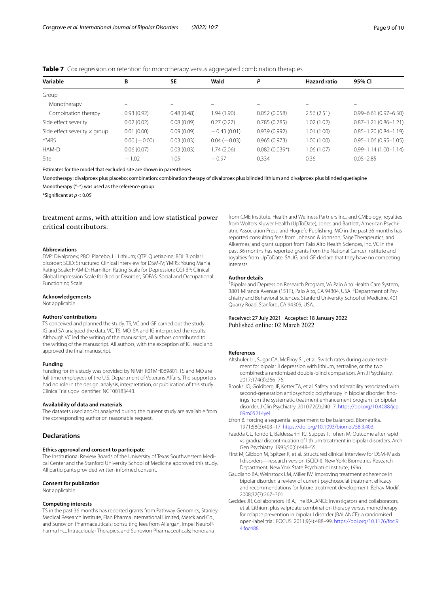#### <span id="page-8-7"></span>**Table 7** Cox regression on retention for monotherapy versus aggregated combination therapies

| Variable                            | B              | SE         | Wald           | P               | <b>Hazard ratio</b> | 95% CI                        |
|-------------------------------------|----------------|------------|----------------|-----------------|---------------------|-------------------------------|
| Group                               |                |            |                |                 |                     |                               |
| Monotherapy                         |                |            |                |                 |                     |                               |
| Combination therapy                 | 0.93(0.92)     | 0.48(0.48) | 1.94(1.90)     | 0.052(0.058)    | 2.56(2.51)          | $0.99 - 6.61(0.97 - 6.50)$    |
| Side effect severity                | 0.02(0.02)     | 0.08(0.09) | 0.27(0.27)     | 0.785(0.785)    | 1.02(1.02)          | $0.87 - 1.21(0.86 - 1.21)$    |
| Side effect severity $\times$ group | 0.01(0.00)     | 0.09(0.09) | $-0.43(0.01)$  | 0.939(0.992)    | 1.01(1.00)          | $0.85 - 1.20(0.84 - 1.19)$    |
| <b>YMRS</b>                         | $0.00 (-0.00)$ | 0.03(0.03) | $0.04 (-0.03)$ | 0.965(0.973)    | 1.00(1.00)          | $0.95 - 1.06$ (0.95 $-1.05$ ) |
| HAM-D                               | 0.06(0.07)     | 0.03(0.03) | 1.74 (2.06)    | $0.082(0.039*)$ | 1.06(1.07)          | $0.99 - 1.14(1.00 - 1.14)$    |
| Site                                | $-1.02$        | 1.05       | $-0.97$        | 0.334           | 0.36                | $0.05 - 2.85$                 |

Estimates for the model that excluded site are shown in parentheses

Monotherapy: divalproex plus placebo; combination: combination therapy of divalproex plus blinded lithium and divalproex plus blinded quetiapine

Monotherapy ("–") was used as the reference group

\*Signifcant at *p* < 0.05

## treatment arms, with attrition and low statistical power critical contributors.

#### **Abbreviations**

DVP: Divalproex; PBO: Placebo; Li: Lithium; QTP: Quetiapine; BDI: Bipolar I disorder; SCID: Structured Clinical Interview for DSM-IV; YMRS: Young Mania Rating Scale; HAM-D: Hamilton Rating Scale for Depression; CGI-BP: Clinical Global Impression Scale for Bipolar Disorder; SOFAS: Social and Occupational Functioning Scale.

#### **Acknowledgements**

Not applicable.

### **Authors' contributions**

TS conceived and planned the study. TS, VC and GF carried out the study. IG and SA analyzed the data. VC, TS, MO, SA and IG interpreted the results. Although VC led the writing of the manuscript, all authors contributed to the writing of the manuscript. All authors, with the exception of IG, read and approved the fnal manuscript.

#### **Funding**

Funding for this study was provided by NIMH R01MH069801. TS and MO are full time employees of the U.S. Department of Veterans Affairs. The supporters had no role in the design, analysis, interpretation, or publication of this study. ClinicalTrials.gov identifer: NCT00183443.

#### **Availability of data and materials**

The datasets used and/or analyzed during the current study are available from the corresponding author on reasonable request.

#### **Declarations**

#### **Ethics approval and consent to participate**

The Institutional Review Boards of the University of Texas Southwestern Medical Center and the Stanford University School of Medicine approved this study. All participants provided written informed consent.

#### **Consent for publication**

Not applicable.

#### **Competing interests**

TS in the past 36 months has reported grants from Pathway Genomics, Stanley Medical Research Institute, Elan Pharma International Limited, Merck and Co., and Sunovion Pharmaceuticals; consulting fees from Allergan, Impel NeuroPharma Inc., Intraceluular Therapies, and Sunovion Pharmaceuticals; honoraria

from CME Institute, Health and Wellness Partners Inc., and CMEology; royalties from Wolters Kluwer Health (UpToDate), Jones and Bartlett, American Psychiatric Association Press, and Hogrefe Publishing. MO in the past 36 months has reported consulting fees from Johnson & Johnson, Sage Therapeutics, and Alkermes; and grant support from Palo Alto Health Sciences, Inc. VC in the past 36 months has reported grants from the National Cancer Institute and royalties from UpToDate. SA, IG, and GF declare that they have no competing interests.

#### **Author details**

<sup>1</sup> Bipolar and Depression Research Program, VA Palo Alto Health Care System, 3801 Miranda Avenue (151T), Palo Alto, CA 94304, USA. <sup>2</sup> Department of Psychiatry and Behavioral Sciences, Stanford University School of Medicine, 401 Quarry Road, Stanford, CA 94305, USA.

#### Received: 27 July 2021 Accepted: 18 January 2022 Published online: 02 March 2022

#### **References**

- <span id="page-8-2"></span>Altshuler LL, Sugar CA, McElroy SL, et al. Switch rates during acute treatment for bipolar II depression with lithium, sertraline, or the two combined: a randomized double-blind comparison. Am J Psychiatry. 2017;174(3):266–76.
- <span id="page-8-0"></span>Brooks JO, Goldberg JF, Ketter TA, et al. Safety and tolerability associated with second-generation antipsychotic polytherapy in bipolar disorder: fndings from the systematic treatment enhancement program for bipolar disorder. J Clin Psychiatry. 2010;72(2):240–7. [https://doi.org/10.4088/jcp.](https://doi.org/10.4088/jcp.09m05214yel) [09m05214yel.](https://doi.org/10.4088/jcp.09m05214yel)
- <span id="page-8-6"></span>Efron B. Forcing a sequential experiment to be balanced. Biometrika. 1971;58(3):403–17. [https://doi.org/10.1093/biomet/58.3.403.](https://doi.org/10.1093/biomet/58.3.403)
- <span id="page-8-5"></span>Faedda GL, Tondo L, Baldessarini RJ, Suppes T, Tohen M. Outcome after rapid vs gradual discontinuation of lithium treatment in bipolar disorders. Arch Gen Psychiatry. 1993;50(6):448–55.
- <span id="page-8-4"></span>First M, Gibbon M, Spitzer R, et al. Structured clinical interview for DSM-IV axis I disorders—research version (SCID-I). New York: Biometrics Research Department, New York State Psychiatric Institute; 1996.
- <span id="page-8-1"></span>Gaudiano BA, Weinstock LM, Miller IW. Improving treatment adherence in bipolar disorder: a review of current psychosocial treatment efficacy and recommendations for future treatment development. Behav Modif. 2008;32(3):267–301.
- <span id="page-8-3"></span>Geddes JR, Collaborators TBIA, The BALANCE investigators and collaborators, et al. Lithium plus valproate combination therapy versus monotherapy for relapse prevention in bipolar I disorder (BALANCE): a randomised open-label trial. FOCUS. 2011;9(4):488–99. [https://doi.org/10.1176/foc.9.](https://doi.org/10.1176/foc.9.4.foc488) [4.foc488.](https://doi.org/10.1176/foc.9.4.foc488)